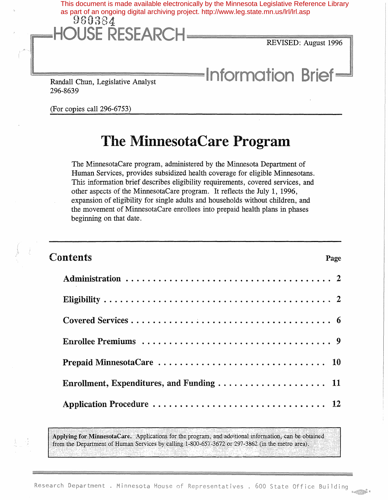

(For copies call 296-6753)

# The MinnesotaCare Program

The MinnesotaCare program, administered by the Minnesota Department of Human Services, provides subsidized health coverage for eligible Minnesotans. This information brief describes eligibility requirements, covered services, and other aspects of the MinnesotaCare program. It reflects the July 1, 1996, expansion of eligibility for single adults and households without children, and the movement of MinnesotaCare enrollees into prepaid health plans in phases beginning on that date.

| <b>Contents</b> | Page |
|-----------------|------|
|                 |      |
|                 |      |
|                 |      |
|                 |      |
|                 |      |
|                 |      |
|                 |      |

Applying for MinnesotaCare. Applications for the program, and additional information, can be obtained from the Department of Human Services by calling 1-800-657-3672 or 297-3862 (in the metro area).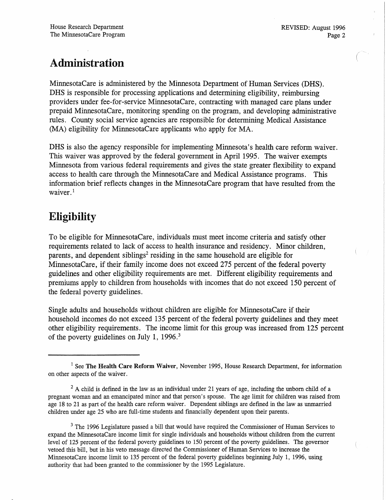### Administration

MinnesotaCare is adrninistered by the Minnesota Department of Human Services (DHS). DHS is responsible for processing applications and determining eligibility, reimbursing providers under fee-for-service MinnesotaCare, contracting with managed care plans under prepaid MinnesotaCare, monitoring spending on the program, and developing administrative rules. County social service agencies are responsible for determining Medical Assistance (MA) eligibility for MinnesotaCare applicants who apply for MA.

DHS is also the agency responsible for implementing Minnesota's health care reform waiver. This waiver was approved by the federal government in April 1995. The waiver exempts Minnesota from various federal requirements and gives the state greater flexibility to expand access to health care through the MinnesotaCare and Medical Assistance programs. This information brief reflects changes in the MinnesotaCare program that have resulted from the waiver.<sup>1</sup>

### Eligibility

To be eligible for MinnesotaCare, individuals must meet income criteria and satisfy other requirements related to lack of access to health insurance and residency. Minor children, parents, and dependent siblings<sup>2</sup> residing in the same household are eligible for MinnesotaCare, if their family income does not exceed 275 percent of the federal poverty guidelines and other eligibility requirements are met. Different eligibility requirements and premiums apply to children from households with incomes that do not exceed 150 percent of the federal poverty guidelines.

Single adults and households without children are eligible for MinnesotaCare if their household incomes do not exceed 135 percent of the federal poverty guidelines and they meet other eligibility requirements. The income limit for this group was increased from 125 percent of the poverty guidelines on July 1, 1996. <sup>3</sup>

<sup>3</sup> The 1996 Legislature passed a bill that would have required the Commissioner of Human Services to expand the MinnesotaCare income limit for single individuals and households without children from the current level of 125 percent of the federal poverty guidelines to 150 percent of the poverty guidelines. The governor vetoed this bill, but in his veto message directed the Commissioner of Human Services to increase the MinnesotaCare income limit to 135 percent of the federal poverty guidelines beginning July 1, 1996, using authority that had been granted to the commissioner by the 1995 Legislature.

 $1$  See The Health Care Reform Waiver, November 1995, House Research Department, for information on other aspects of the waiver.

 $2 A$  child is defined in the law as an individual under 21 years of age, including the unborn child of a pregnant woman and an emancipated minor and that person's spouse. The age limit for children was raised from age 18 to 21 as part of the health care reform waiver. Dependent siblings are defmed in the law as unmarried children under age 25 who are full-time students and fmancially dependent upon their parents.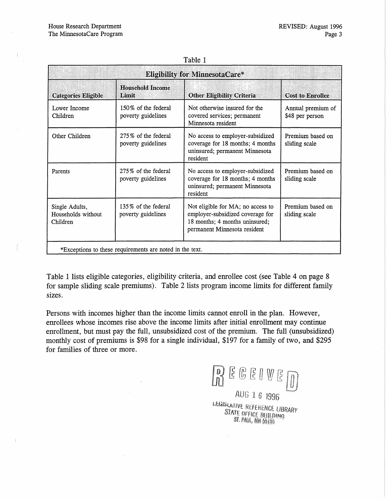| ι αυις τ                                                 |                                           |                                                                                                                                         |                                      |  |  |  |
|----------------------------------------------------------|-------------------------------------------|-----------------------------------------------------------------------------------------------------------------------------------------|--------------------------------------|--|--|--|
| <b>Eligibility for MinnesotaCare*</b>                    |                                           |                                                                                                                                         |                                      |  |  |  |
| <b>Categories Eligible</b>                               | <b>Household Income</b><br>Limit          | <b>Other Eligibility Criteria</b>                                                                                                       | <b>Cost to Enrollee</b>              |  |  |  |
| Lower Income<br>Children                                 | 150% of the federal<br>poverty guidelines | Not otherwise insured for the<br>covered services; permanent<br>Minnesota resident                                                      | Annual premium of<br>\$48 per person |  |  |  |
| Other Children                                           | 275% of the federal<br>poverty guidelines | No access to employer-subsidized<br>coverage for 18 months; 4 months<br>uninsured; permanent Minnesota<br>resident                      | Premium based on<br>sliding scale    |  |  |  |
| Parents                                                  | 275% of the federal<br>poverty guidelines | No access to employer-subsidized<br>coverage for 18 months; 4 months<br>uninsured; permanent Minnesota<br>resident                      | Premium based on<br>sliding scale    |  |  |  |
| Single Adults,<br>Households without<br>Children         | 135% of the federal<br>poverty guidelines | Not eligible for MA; no access to<br>employer-subsidized coverage for<br>18 months; 4 months uninsured;<br>permanent Minnesota resident | Premium based on<br>sliding scale    |  |  |  |
| *Exceptions to these requirements are noted in the text. |                                           |                                                                                                                                         |                                      |  |  |  |

| anlı |  |
|------|--|
|------|--|

Table 1 lists eligible categories, eligibility criteria, and enrollee cost (see Table 4 on page 8 for sample sliding scale premiums). Table 2 lists program income limits for different family sizes.

Persons with incomes higher than the income limits cannot enroll in the plan. However, enrollees whose incomes rise above the income limits after initial enrollment may continue enrollment, but must pay the full, unsubsidized cost of the premium. The full (unsubsidized) monthly cost of premiums is \$98 for a single individual, \$197 for a family of two, and \$295 for families of three or more.

 $E \noplus E$ AUG 1 6 1996

LEGISLATIVE REFERENCE LIBRARY<br>STATE OFFICE BUILDING<br>ST. PAUL, MN 99195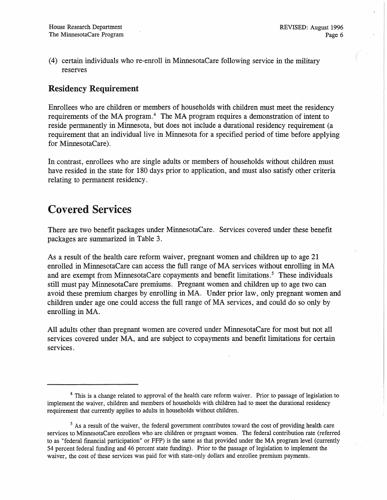(4) certain individuals who re-enroll in MinnesotaCare following service in the military reserves

### Residency Requirement

Enrollees who are children or members of households with children must meet the residency requirements of the MA program.<sup>4</sup> The MA program requires a demonstration of intent to reside permanently in Minnesota, but does not include a durational residency requirement (a requirement that an individual live in Minnesota for a specified period of time before applying for MinnesotaCare).

In contrast, enrollees who are single adults or members of households without children must have resided in the state for 180 days prior to application, and must also satisfy other criteria relating to permanent residency.

### Covered Services

There are two benefit packages under MinnesotaCare. Services covered under these benefit packages are summarized in Table 3.

As a result of the health care reform waiver, pregnant women and children up to age 21 enrolled in MinnesotaCare can access the full range of MA services without enrolling in MA and are exempt from MinnesotaCare copayments and benefit limitations.<sup>5</sup> These individuals still must pay MinnesotaCare premiums. Pregnant women and children up to age two can avoid these premium charges by enrolling in MA. Under prior law, only pregnant women and children under age one could access the full range of MA services, and could do so only by enrolling in MA.

All adults other than pregnant women are covered under MinnesotaCare for most but not all services covered under MA, and are subject to copayments and benefit limitations for certain services.

<sup>&</sup>lt;sup>4</sup> This is a change related to approval of the health care reform waiver. Prior to passage of legislation to implement the waiver, children and members of households with children had to meet the durational residency requirement that currently applies to adults in households without children.

<sup>&</sup>lt;sup>5</sup> As a result of the waiver, the federal government contributes toward the cost of providing health care services to MinnesotaCare enrollees who are children or pregnant women. The federal contribution rate (referred to as "federal fmancial participation" or FFP) is the same as that provided under the MA program level (currently 54 percent federal funding and 46 percent state funding). Prior to the passage of legislation to implement the waiver, the cost of these services was paid for with state-only dollars and enrollee premium payments.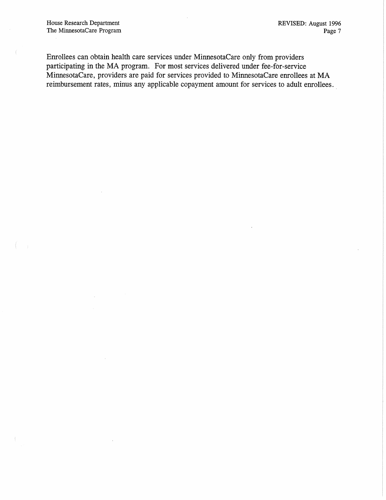Enrollees can obtain health care services under MinnesotaCare only from providers participating in the MA program. For most services delivered under fee-for-service MinnesotaCare, providers are paid for services provided to MinnesotaCare enrollees at MA reimbursement rates, minus any applicable copayment amount for services to adult enrollees..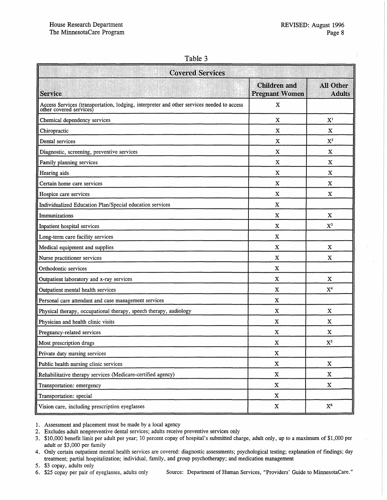#### Table 3

| <b>Covered Services</b>                                                                                           |                                              |                                   |  |  |
|-------------------------------------------------------------------------------------------------------------------|----------------------------------------------|-----------------------------------|--|--|
| <b>Service</b>                                                                                                    | <b>Children</b> and<br><b>Pregnant Women</b> | <b>All Other</b><br><b>Adults</b> |  |  |
| Access Services (transportation, lodging, interpreter and other services needed to access other covered services) | $\mathbf X$                                  |                                   |  |  |
| Chemical dependency services                                                                                      | X                                            | X <sup>1</sup>                    |  |  |
| Chiropractic                                                                                                      | x                                            | x                                 |  |  |
| Dental services                                                                                                   | X                                            | $X^2$                             |  |  |
| Diagnostic, screening, preventive services                                                                        | X                                            | X                                 |  |  |
| Family planning services                                                                                          | X                                            | X                                 |  |  |
| Hearing aids                                                                                                      | X                                            | $\mathbf X$                       |  |  |
| Certain home care services                                                                                        | X                                            | X                                 |  |  |
| Hospice care services                                                                                             | X                                            | X                                 |  |  |
| Individualized Education Plan/Special education services                                                          | X                                            |                                   |  |  |
| Immunizations                                                                                                     | X                                            | X                                 |  |  |
| Inpatient hospital services                                                                                       | $\mathbf x$                                  | $X^3$                             |  |  |
| Long-term care facility services                                                                                  | X                                            |                                   |  |  |
| Medical equipment and supplies                                                                                    | X                                            | X                                 |  |  |
| Nurse practitioner services                                                                                       | X                                            | X                                 |  |  |
| Orthodontic services                                                                                              | $\mathbf X$                                  |                                   |  |  |
| Outpatient laboratory and x-ray services                                                                          | $\mathbf x$                                  | $\mathbf x$                       |  |  |
| Outpatient mental health services                                                                                 | X                                            | X <sup>4</sup>                    |  |  |
| Personal care attendant and case management services                                                              | X                                            |                                   |  |  |
| Physical therapy, occupational therapy, speech therapy, audiology                                                 | $\mathbf X$                                  | X                                 |  |  |
| Physician and health clinic visits                                                                                | $\mathbf X$                                  | X                                 |  |  |
| Pregnancy-related services                                                                                        | X                                            | $\mathbf X$                       |  |  |
| Most prescription drugs                                                                                           | X                                            | $X^5$                             |  |  |
| Private duty nursing services                                                                                     | $\mathbf X$                                  |                                   |  |  |
| Public health nursing clinic services                                                                             | $\mathbf X$                                  | $\mathbf X$                       |  |  |
| Rehabilitative therapy services (Medicare-certified agency)                                                       | $\mathbf X$                                  | $\boldsymbol{\mathrm{X}}$         |  |  |
| Transportation: emergency                                                                                         | $\mathbf X$                                  | $\mathbf X$                       |  |  |
| Transportation: special                                                                                           | $\mathbf X$                                  |                                   |  |  |
| Vision care, including prescription eyeglasses                                                                    | $\mathbf X$                                  | ${\rm X}^6$                       |  |  |

1. Assessment and placement must be made by a local agency

- 2. Excludes adult nonpreventive dental services; adults receive preventive services only
- 3. \$10,000 benefit limit per adult per year; 10 percent copay of hospital's submitted charge, adult only, up to a maximum of \$1,000 per adult or \$3,000 per family

4. Only certain outpatient mental health services are covered: diagnostic assessments; psychological testing; explanation of findings; day treatment; partial hospitalization; individual, family, and group psychotherapy; and medication management

5. \$3 copay, adults only

6. \$25 copay per pair of eyeglasses, adults only Source: Department of Human Services, "Providers' Guide to MinnesotaCare."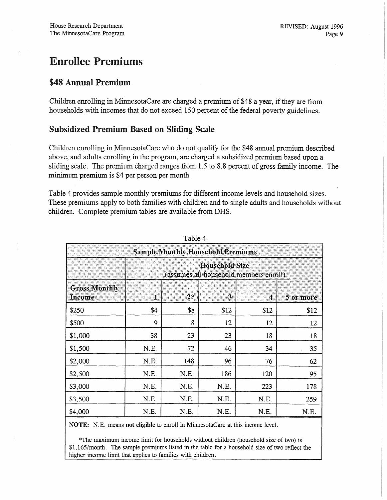### **Enrollee Premiums**

#### \$48 Annual Premium

Children enrolling in MinnesotaCare are charged a premium of \$48 a year, if they are from households with incomes that do not exceed 150 percent of the federal poverty guidelines.

#### **Subsidized Premium Based on Sliding Scale**

Children enrolling in MinnesotaCare who do not qualify for the \$48 annual premium described above, and adults enrolling in the program, are charged a subsidized premium based upon a sliding scale. The premium charged ranges from 1.5 to 8.8 percent of gross family income. The minimum premium is \$4 per person per month.

Table 4 provides sample monthly premiums for different income levels and household sizes. These premiums apply to both families with children and to single adults and households without children. Complete premium tables are available from DHS.

| <b>Sample Monthly Household Premiums</b> |                                                                 |             |      |      |           |  |  |
|------------------------------------------|-----------------------------------------------------------------|-------------|------|------|-----------|--|--|
|                                          | <b>Household Size</b><br>(assumes all household members enroll) |             |      |      |           |  |  |
| <b>Gross Monthly</b><br>Income           | $\bf 1$                                                         | $2^{\star}$ | 3    | 4    | 5 or more |  |  |
| \$250                                    | \$4                                                             | \$8         | \$12 | \$12 | \$12      |  |  |
| \$500                                    | 9                                                               | 8           | 12   | 12   | 12        |  |  |
| \$1,000                                  | 38                                                              | 23          | 23   | 18   | 18        |  |  |
| \$1,500                                  | N.E.                                                            | 72          | 46   | 34   | 35        |  |  |
| \$2,000                                  | N.E.                                                            | 148         | 96   | 76   | 62        |  |  |
| \$2,500                                  | N.E.                                                            | N.E.        | 186  | 120  | 95        |  |  |
| \$3,000                                  | N.E.                                                            | N.E.        | N.E. | 223  | 178       |  |  |
| \$3,500                                  | N.E.                                                            | N.E.        | N.E. | N.E. | 259       |  |  |
| \$4,000                                  | N.E.                                                            | N.E.        | N.E. | N.E. | N.E.      |  |  |

Table 4

NOTE: N.E. means not eligible to enroll in MinnesotaCare at this income level.

\*The maximum income limit for households without children (household size of two) is \$1,165/month. The sample premiums listed in the table for a household size of two reflect the higher income limit that applies to families with children.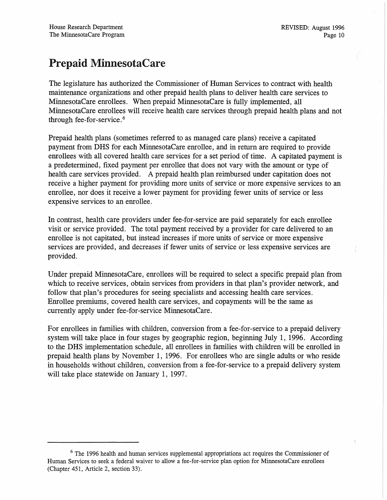### Prepaid MinnesotaCare

The legislature has authorized the Commissioner of Human Services to contract with health maintenance organizations and other prepaid health plans to deliver health care services to MinnesotaCare enrollees. When prepaid MinnesotaCare is fully implemented, all MinnesotaCare enrollees will receive health care services through prepaid health plans and not through fee-for-service. <sup>6</sup>

Prepaid health plans (sometimes referred to as managed care plans) receive a capitated payment from DHS for each MinnesotaCare enrollee, and in return are required to provide enrollees with all covered health care services for a set period of time. A capitated payment is a predetermined, fixed payment per enrollee that does not vary with the amount or type of health care services provided. A prepaid health plan reimbursed under capitation does not receive a higher payment for providing more units of service or more expensive services to an enrollee, nor does it receive a lower payment for providing fewer units of service or less expensive services to an enrollee.

In contrast, health care providers under fee-for-service are paid separately for each enrollee visit or service provided. The total payment received by a provider for care delivered to an enrollee is not capitated, but instead increases if more units of service or more expensive services are provided, and decreases if fewer units of service or less expensive services are provided.

Under prepaid MinnesotaCare, enrollees will be required to select a specific prepaid plan from which to receive services, obtain services from providers in that plan's provider network, and follow that plan's procedures for seeing specialists and accessing health care services. Enrollee premiums, covered health care services, and copayments will be the same as currently apply under fee-for-service MinnesotaCare.

For enrollees in families with children, conversion from a fee-for-service to a prepaid delivery system will take place in four stages by geographic region, beginning July 1, 1996. According to the DRS implementation schedule, all enrollees in families with children will be enrolled in prepaid health plans by November 1, 1996. For enrollees who are single adults or who reside in households without children, conversion from a fee-for-service to a prepaid delivery system will take place statewide on January 1, 1997.

<sup>&</sup>lt;sup>6</sup> The 1996 health and human services supplemental appropriations act requires the Commissioner of Human Services to seek a federal waiver to allow a fee-for-service plan option for MinnesotaCare enrollees (Chapter 451, Article 2, section 33).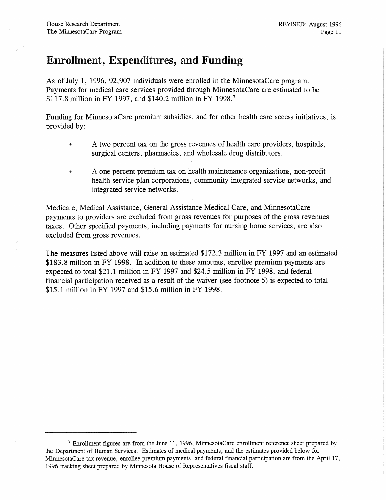### Enrollment, Expenditures, and Funding

As of July 1, 1996, 92,907 individuals were enrolled in the MinnesotaCare program. Payments for medical care services provided through MinnesotaCare are estimated to be \$117.8 million in FY 1997, and \$140.2 million in FY 1998. <sup>7</sup>

Funding for MinnesotaCare premium subsidies, and for other health care access initiatives, is provided by:

- A two percent tax on the gross revenues of health care providers, hospitals, surgical centers, pharmacies, and wholesale drug distributors.
- A one percent premium tax on health maintenance organizations, non-profit health service plan corporations, community integrated service networks, and integrated service networks.

Medicare, Medical Assistance, General Assistance Medical Care, and MinnesotaCare payments to providers are excluded from gross revenues for purposes of the gross revenues taxes. Other specified payments, including payments for nursing home services, are also excluded from gross revenues.

The measures listed above will raise an estimated \$172.3 million in FY 1997 and an estimated \$183.8 million in FY 1998. In addition to these amounts, enrollee premium payments are expected to total \$21.1 million in FY 1997 and \$24.5 million in FY 1998, and federal financial participation received as a result of the waiver (see footnote 5) is expected to total \$15.1 million in FY 1997 and \$15.6 million in FY 1998.

 $<sup>7</sup>$  Enrollment figures are from the June 11, 1996, MinnesotaCare enrollment reference sheet prepared by</sup> the Department of Human Services. Estimates of medical payments, and the estimates provided below for MinnesotaCare tax revenue, enrollee premium payments, and federal financial participation are from the April 17, 1996 tracking sheet prepared by Minnesota House of Representatives fiscal staff.